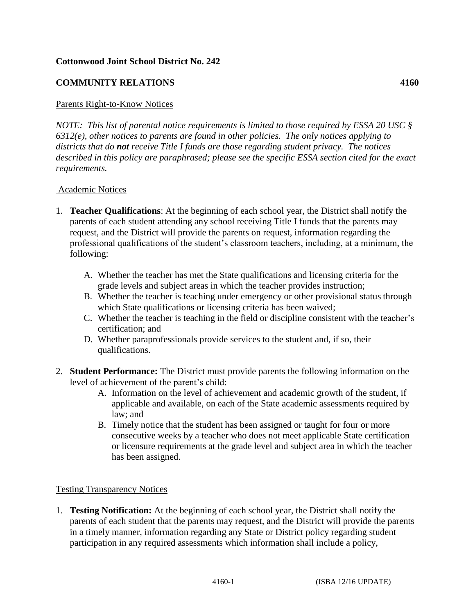#### **Cottonwood Joint School District No. 242**

# **COMMUNITY RELATIONS 4160**

#### Parents Right-to-Know Notices

*NOTE: This list of parental notice requirements is limited to those required by ESSA 20 USC § 6312(e), other notices to parents are found in other policies. The only notices applying to districts that do not receive Title I funds are those regarding student privacy. The notices described in this policy are paraphrased; please see the specific ESSA section cited for the exact requirements.*

#### Academic Notices

- 1. **Teacher Qualifications**: At the beginning of each school year, the District shall notify the parents of each student attending any school receiving Title I funds that the parents may request, and the District will provide the parents on request, information regarding the professional qualifications of the student's classroom teachers, including, at a minimum, the following:
	- A. Whether the teacher has met the State qualifications and licensing criteria for the grade levels and subject areas in which the teacher provides instruction;
	- B. Whether the teacher is teaching under emergency or other provisional status through which State qualifications or licensing criteria has been waived;
	- C. Whether the teacher is teaching in the field or discipline consistent with the teacher's certification; and
	- D. Whether paraprofessionals provide services to the student and, if so, their qualifications.
- 2. **Student Performance:** The District must provide parents the following information on the level of achievement of the parent's child:
	- A. Information on the level of achievement and academic growth of the student, if applicable and available, on each of the State academic assessments required by law; and
	- B. Timely notice that the student has been assigned or taught for four or more consecutive weeks by a teacher who does not meet applicable State certification or licensure requirements at the grade level and subject area in which the teacher has been assigned.

#### Testing Transparency Notices

1. **Testing Notification:** At the beginning of each school year, the District shall notify the parents of each student that the parents may request, and the District will provide the parents in a timely manner, information regarding any State or District policy regarding student participation in any required assessments which information shall include a policy,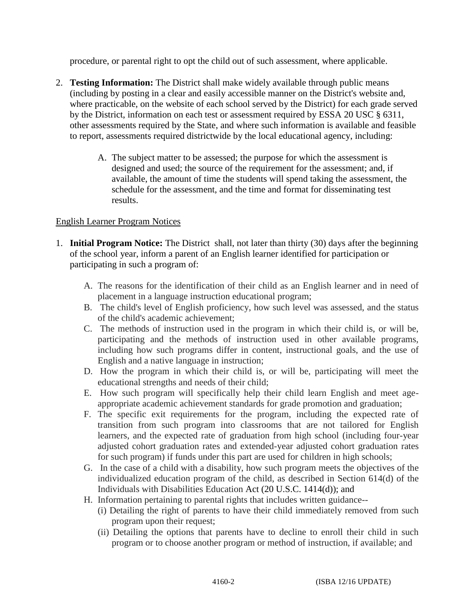procedure, or parental right to opt the child out of such assessment, where applicable.

- 2. **Testing Information:** The District shall make widely available through public means (including by posting in a clear and easily accessible manner on the District's website and, where practicable, on the website of each school served by the District) for each grade served by the District, information on each test or assessment required by ESSA 20 USC § 6311, other assessments required by the State, and where such information is available and feasible to report, assessments required districtwide by the local educational agency, including:
	- A. The subject matter to be assessed; the purpose for which the assessment is designed and used; the source of the requirement for the assessment; and, if available, the amount of time the students will spend taking the assessment, the schedule for the assessment, and the time and format for disseminating test results.

# English Learner Program Notices

- 1. **Initial Program Notice:** The District shall, not later than thirty (30) days after the beginning of the school year, inform a parent of an English learner identified for participation or participating in such a program of:
	- A. The reasons for the identification of their child as an English learner and in need of placement in a language instruction educational program;
	- B. The child's level of English proficiency, how such level was assessed, and the status of the child's academic achievement;
	- C. The methods of instruction used in the program in which their child is, or will be, participating and the methods of instruction used in other available programs, including how such programs differ in content, instructional goals, and the use of English and a native language in instruction;
	- D. How the program in which their child is, or will be, participating will meet the educational strengths and needs of their child;
	- E. How such program will specifically help their child learn English and meet ageappropriate academic achievement standards for grade promotion and graduation;
	- F. The specific exit requirements for the program, including the expected rate of transition from such program into classrooms that are not tailored for English learners, and the expected rate of graduation from high school (including four-year adjusted cohort graduation rates and extended-year adjusted cohort graduation rates for such program) if funds under this part are used for children in high schools;
	- G. In the case of a child with a disability, how such program meets the objectives of the individualized education program of the child, as described in Section 614(d) of the Individuals with Disabilities Education Act (20 U.S.C. 1414(d)); and
	- H. Information pertaining to parental rights that includes written guidance--
		- (i) Detailing the right of parents to have their child immediately removed from such program upon their request;
		- (ii) Detailing the options that parents have to decline to enroll their child in such program or to choose another program or method of instruction, if available; and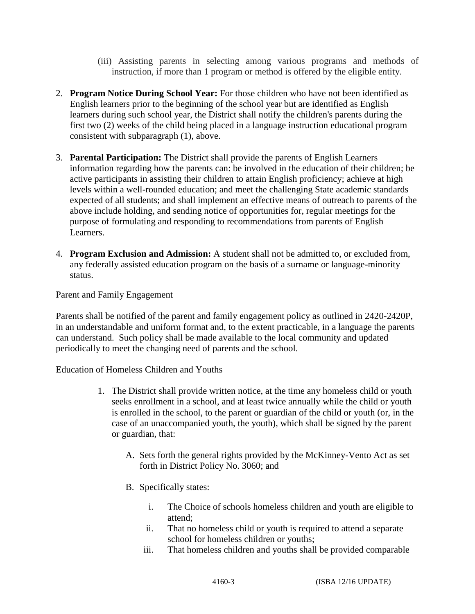- (iii) Assisting parents in selecting among various programs and methods of instruction, if more than 1 program or method is offered by the eligible entity.
- 2. **Program Notice During School Year:** For those children who have not been identified as English learners prior to the beginning of the school year but are identified as English learners during such school year, the District shall notify the children's parents during the first two (2) weeks of the child being placed in a language instruction educational program consistent with subparagraph (1), above.
- 3. **Parental Participation:** The District shall provide the parents of English Learners information regarding how the parents can: be involved in the education of their children; be active participants in assisting their children to attain English proficiency; achieve at high levels within a well-rounded education; and meet the challenging State academic standards expected of all students; and shall implement an effective means of outreach to parents of the above include holding, and sending notice of opportunities for, regular meetings for the purpose of formulating and responding to recommendations from parents of English Learners.
- 4. **Program Exclusion and Admission:** A student shall not be admitted to, or excluded from, any federally assisted education program on the basis of a surname or language-minority status.

# Parent and Family Engagement

Parents shall be notified of the parent and family engagement policy as outlined in 2420-2420P, in an understandable and uniform format and, to the extent practicable, in a language the parents can understand. Such policy shall be made available to the local community and updated periodically to meet the changing need of parents and the school.

#### Education of Homeless Children and Youths

- 1. The District shall provide written notice, at the time any homeless child or youth seeks enrollment in a school, and at least twice annually while the child or youth is enrolled in the school, to the parent or guardian of the child or youth (or, in the case of an unaccompanied youth, the youth), which shall be signed by the parent or guardian, that:
	- A. Sets forth the general rights provided by the McKinney-Vento Act as set forth in District Policy No. 3060; and
	- B. Specifically states:
		- i. The Choice of schools homeless children and youth are eligible to attend;
		- ii. That no homeless child or youth is required to attend a separate school for homeless children or youths;
		- iii. That homeless children and youths shall be provided comparable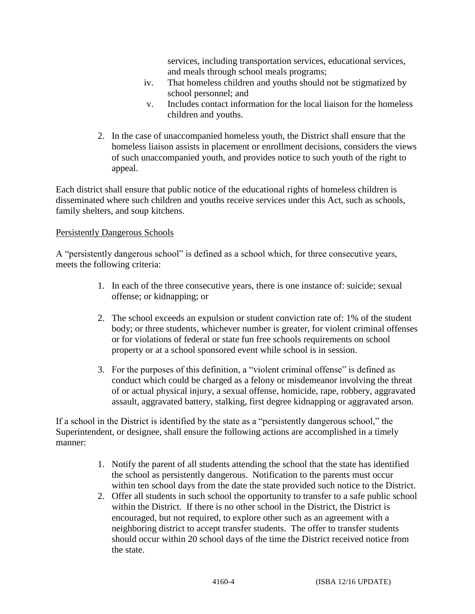services, including transportation services, educational services, and meals through school meals programs;

- iv. That homeless children and youths should not be stigmatized by school personnel; and
- v. Includes contact information for the local liaison for the homeless children and youths.
- 2. In the case of unaccompanied homeless youth, the District shall ensure that the homeless liaison assists in placement or enrollment decisions, considers the views of such unaccompanied youth, and provides notice to such youth of the right to appeal.

Each district shall ensure that public notice of the educational rights of homeless children is disseminated where such children and youths receive services under this Act, such as schools, family shelters, and soup kitchens.

# Persistently Dangerous Schools

A "persistently dangerous school" is defined as a school which, for three consecutive years, meets the following criteria:

- 1. In each of the three consecutive years, there is one instance of: suicide; sexual offense; or kidnapping; or
- 2. The school exceeds an expulsion or student conviction rate of: 1% of the student body; or three students, whichever number is greater, for violent criminal offenses or for violations of federal or state fun free schools requirements on school property or at a school sponsored event while school is in session.
- 3. For the purposes of this definition, a "violent criminal offense" is defined as conduct which could be charged as a felony or misdemeanor involving the threat of or actual physical injury, a sexual offense, homicide, rape, robbery, aggravated assault, aggravated battery, stalking, first degree kidnapping or aggravated arson.

If a school in the District is identified by the state as a "persistently dangerous school," the Superintendent, or designee, shall ensure the following actions are accomplished in a timely manner:

- 1. Notify the parent of all students attending the school that the state has identified the school as persistently dangerous. Notification to the parents must occur within ten school days from the date the state provided such notice to the District.
- 2. Offer all students in such school the opportunity to transfer to a safe public school within the District. If there is no other school in the District, the District is encouraged, but not required, to explore other such as an agreement with a neighboring district to accept transfer students. The offer to transfer students should occur within 20 school days of the time the District received notice from the state.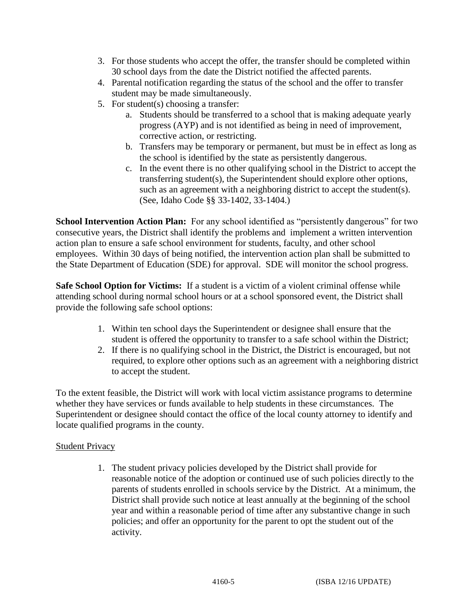- 3. For those students who accept the offer, the transfer should be completed within 30 school days from the date the District notified the affected parents.
- 4. Parental notification regarding the status of the school and the offer to transfer student may be made simultaneously.
- 5. For student(s) choosing a transfer:
	- a. Students should be transferred to a school that is making adequate yearly progress (AYP) and is not identified as being in need of improvement, corrective action, or restricting.
	- b. Transfers may be temporary or permanent, but must be in effect as long as the school is identified by the state as persistently dangerous.
	- c. In the event there is no other qualifying school in the District to accept the transferring student(s), the Superintendent should explore other options, such as an agreement with a neighboring district to accept the student(s). (See, Idaho Code §§ 33-1402, 33-1404.)

**School Intervention Action Plan:** For any school identified as "persistently dangerous" for two consecutive years, the District shall identify the problems and implement a written intervention action plan to ensure a safe school environment for students, faculty, and other school employees. Within 30 days of being notified, the intervention action plan shall be submitted to the State Department of Education (SDE) for approval. SDE will monitor the school progress.

**Safe School Option for Victims:** If a student is a victim of a violent criminal offense while attending school during normal school hours or at a school sponsored event, the District shall provide the following safe school options:

- 1. Within ten school days the Superintendent or designee shall ensure that the student is offered the opportunity to transfer to a safe school within the District;
- 2. If there is no qualifying school in the District, the District is encouraged, but not required, to explore other options such as an agreement with a neighboring district to accept the student.

To the extent feasible, the District will work with local victim assistance programs to determine whether they have services or funds available to help students in these circumstances. The Superintendent or designee should contact the office of the local county attorney to identify and locate qualified programs in the county.

# **Student Privacy**

1. The student privacy policies developed by the District shall provide for reasonable notice of the adoption or continued use of such policies directly to the parents of students enrolled in schools service by the District. At a minimum, the District shall provide such notice at least annually at the beginning of the school year and within a reasonable period of time after any substantive change in such policies; and offer an opportunity for the parent to opt the student out of the activity.